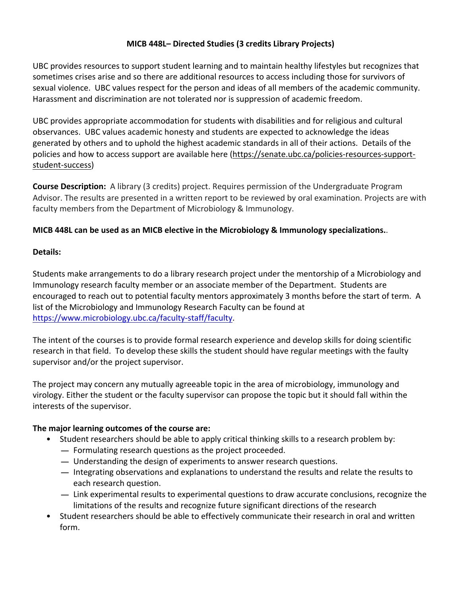# **MICB 448L– Directed Studies (3 credits Library Projects)**

UBC provides resources to support student learning and to maintain healthy lifestyles but recognizes that sometimes crises arise and so there are additional resources to access including those for survivors of sexual violence. UBC values respect for the person and ideas of all members of the academic community. Harassment and discrimination are not tolerated nor is suppression of academic freedom.

UBC provides appropriate accommodation for students with disabilities and for religious and cultural observances. UBC values academic honesty and students are expected to acknowledge the ideas generated by others and to uphold the highest academic standards in all of their actions. Details of the policies and how to access support are available here (https://senate.ubc.ca/policies-resources-supportstudent-success)

**Course Description:** A library (3 credits) project. Requires permission of the Undergraduate Program Advisor. The results are presented in a written report to be reviewed by oral examination. Projects are with faculty members from the Department of Microbiology & Immunology.

# **MICB 448L can be used as an MICB elective in the Microbiology & Immunology specializations.**.

## **Details:**

Students make arrangements to do a library research project under the mentorship of a Microbiology and Immunology research faculty member or an associate member of the Department. Students are encouraged to reach out to potential faculty mentors approximately 3 months before the start of term. A list of the Microbiology and Immunology Research Faculty can be found at https://www.microbiology.ubc.ca/faculty-staff/faculty.

The intent of the courses is to provide formal research experience and develop skills for doing scientific research in that field. To develop these skills the student should have regular meetings with the faulty supervisor and/or the project supervisor.

The project may concern any mutually agreeable topic in the area of microbiology, immunology and virology. Either the student or the faculty supervisor can propose the topic but it should fall within the interests of the supervisor.

## **The major learning outcomes of the course are:**

- Student researchers should be able to apply critical thinking skills to a research problem by: Student researchers should be able to apply critical thinking sk-<br>
— Formulating research questions as the project proceeded.
	-
	- Formulating research questions as the project proceeded.<br>- Understanding the design of experiments to answer research questions.
	- $-$  Integrating observations and explanations to understand the results and relate the results to each research question.
	- $-$  Link experimental results to experimental questions to draw accurate conclusions, recognize the limitations of the results and recognize future significant directions of the research
- Student researchers should be able to effectively communicate their research in oral and written form.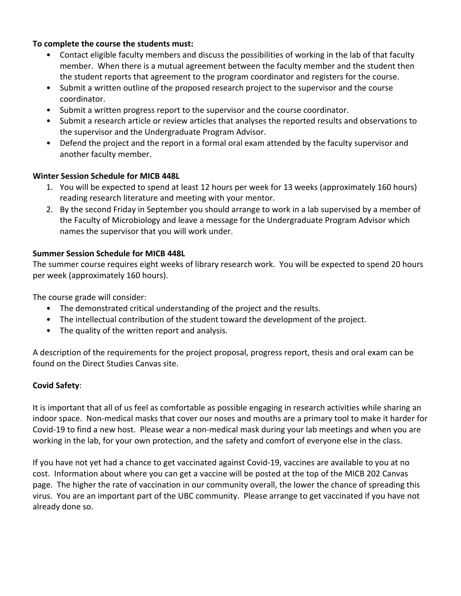#### **To complete the course the students must:**

- Contact eligible faculty members and discuss the possibilities of working in the lab of that faculty member. When there is a mutual agreement between the faculty member and the student then the student reports that agreement to the program coordinator and registers for the course.
- Submit a written outline of the proposed research project to the supervisor and the course coordinator.
- Submit a written progress report to the supervisor and the course coordinator.
- Submit a research article or review articles that analyses the reported results and observations to the supervisor and the Undergraduate Program Advisor.
- Defend the project and the report in a formal oral exam attended by the faculty supervisor and another faculty member.

## **Winter Session Schedule for MICB 448L**

- 1. You will be expected to spend at least 12 hours per week for 13 weeks (approximately 160 hours) reading research literature and meeting with your mentor.
- 2. By the second Friday in September you should arrange to work in a lab supervised by a member of the Faculty of Microbiology and leave a message for the Undergraduate Program Advisor which names the supervisor that you will work under.

#### **Summer Session Schedule for MICB 448L**

The summer course requires eight weeks of library research work. You will be expected to spend 20 hours per week (approximately 160 hours).

The course grade will consider:

- The demonstrated critical understanding of the project and the results.
- The intellectual contribution of the student toward the development of the project.
- The quality of the written report and analysis.

A description of the requirements for the project proposal, progress report, thesis and oral exam can be found on the Direct Studies Canvas site.

## **Covid Safety**:

It is important that all of us feel as comfortable as possible engaging in research activities while sharing an indoor space. Non-medical masks that cover our noses and mouths are a primary tool to make it harder for Covid-19 to find a new host. Please wear a non-medical mask during your lab meetings and when you are working in the lab, for your own protection, and the safety and comfort of everyone else in the class.

If you have not yet had a chance to get vaccinated against Covid-19, vaccines are available to you at no cost. Information about where you can get a vaccine will be posted at the top of the MICB 202 Canvas page. The higher the rate of vaccination in our community overall, the lower the chance of spreading this virus. You are an important part of the UBC community. Please arrange to get vaccinated if you have not already done so.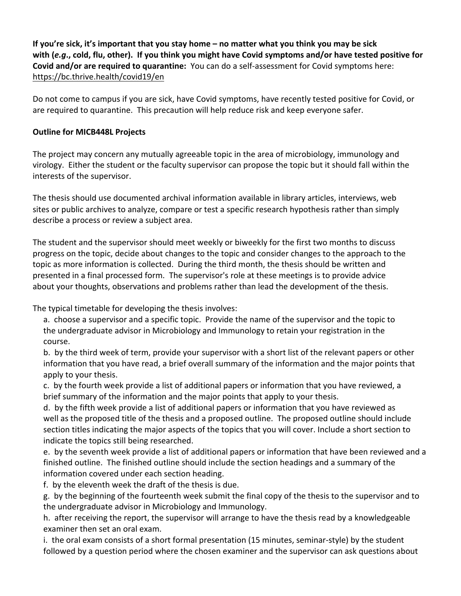**If you're sick, it's important that you stay home – no matter what you think you may be sick with (***e.g***., cold, flu, other).  If you think you might have Covid symptoms and/or have tested positive for Covid and/or are required to quarantine:** You can do a self-assessment for Covid symptoms here: https://bc.thrive.health/covid19/en

Do not come to campus if you are sick, have Covid symptoms, have recently tested positive for Covid, or are required to quarantine. This precaution will help reduce risk and keep everyone safer.

## **Outline for MICB448L Projects**

The project may concern any mutually agreeable topic in the area of microbiology, immunology and virology. Either the student or the faculty supervisor can propose the topic but it should fall within the interests of the supervisor.

The thesis should use documented archival information available in library articles, interviews, web sites or public archives to analyze, compare or test a specific research hypothesis rather than simply describe a process or review a subject area.

The student and the supervisor should meet weekly or biweekly for the first two months to discuss progress on the topic, decide about changes to the topic and consider changes to the approach to the topic as more information is collected. During the third month, the thesis should be written and presented in a final processed form. The supervisor's role at these meetings is to provide advice about your thoughts, observations and problems rather than lead the development of the thesis.

The typical timetable for developing the thesis involves:

a. choose a supervisor and a specific topic. Provide the name of the supervisor and the topic to the undergraduate advisor in Microbiology and Immunology to retain your registration in the course.

b. by the third week of term, provide your supervisor with a short list of the relevant papers or other information that you have read, a brief overall summary of the information and the major points that apply to your thesis.

c. by the fourth week provide a list of additional papers or information that you have reviewed, a brief summary of the information and the major points that apply to your thesis.

d. by the fifth week provide a list of additional papers or information that you have reviewed as well as the proposed title of the thesis and a proposed outline. The proposed outline should include section titles indicating the major aspects of the topics that you will cover. Include a short section to indicate the topics still being researched.

e. by the seventh week provide a list of additional papers or information that have been reviewed and a finished outline. The finished outline should include the section headings and a summary of the information covered under each section heading.

f. by the eleventh week the draft of the thesis is due.

g. by the beginning of the fourteenth week submit the final copy of the thesis to the supervisor and to the undergraduate advisor in Microbiology and Immunology.

h. after receiving the report, the supervisor will arrange to have the thesis read by a knowledgeable examiner then set an oral exam.

i. the oral exam consists of a short formal presentation (15 minutes, seminar-style) by the student followed by a question period where the chosen examiner and the supervisor can ask questions about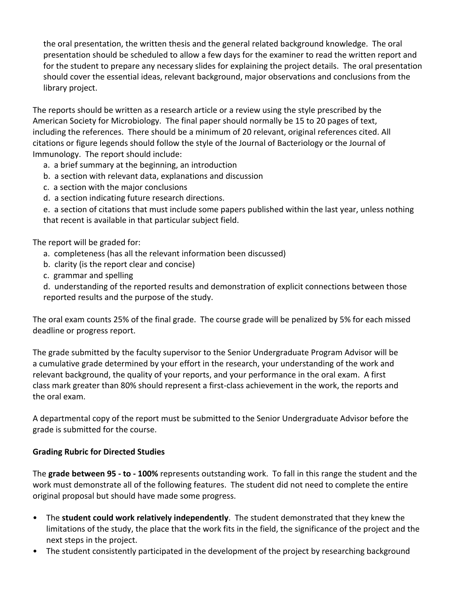the oral presentation, the written thesis and the general related background knowledge. The oral presentation should be scheduled to allow a few days for the examiner to read the written report and for the student to prepare any necessary slides for explaining the project details. The oral presentation should cover the essential ideas, relevant background, major observations and conclusions from the library project.

The reports should be written as a research article or a review using the style prescribed by the American Society for Microbiology. The final paper should normally be 15 to 20 pages of text, including the references. There should be a minimum of 20 relevant, original references cited. All citations or figure legends should follow the style of the Journal of Bacteriology or the Journal of Immunology. The report should include:

- a. a brief summary at the beginning, an introduction
- b. a section with relevant data, explanations and discussion
- c. a section with the major conclusions
- d. a section indicating future research directions.

e. a section of citations that must include some papers published within the last year, unless nothing that recent is available in that particular subject field.

The report will be graded for:

- a. completeness (has all the relevant information been discussed)
- b. clarity (is the report clear and concise)
- c. grammar and spelling

d. understanding of the reported results and demonstration of explicit connections between those reported results and the purpose of the study.

The oral exam counts 25% of the final grade. The course grade will be penalized by 5% for each missed deadline or progress report.

The grade submitted by the faculty supervisor to the Senior Undergraduate Program Advisor will be a cumulative grade determined by your effort in the research, your understanding of the work and relevant background, the quality of your reports, and your performance in the oral exam. A first class mark greater than 80% should represent a first-class achievement in the work, the reports and the oral exam.

A departmental copy of the report must be submitted to the Senior Undergraduate Advisor before the grade is submitted for the course.

# **Grading Rubric for Directed Studies**

The **grade between 95 - to - 100%** represents outstanding work. To fall in this range the student and the work must demonstrate all of the following features. The student did not need to complete the entire original proposal but should have made some progress.

- The **student could work relatively independently**. The student demonstrated that they knew the limitations of the study, the place that the work fits in the field, the significance of the project and the next steps in the project.
- The student consistently participated in the development of the project by researching background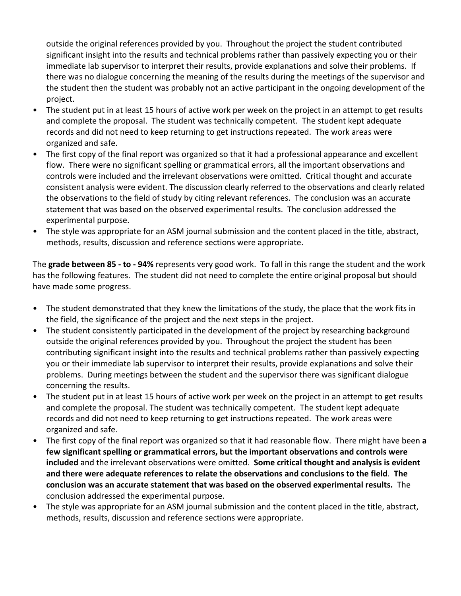outside the original references provided by you. Throughout the project the student contributed significant insight into the results and technical problems rather than passively expecting you or their immediate lab supervisor to interpret their results, provide explanations and solve their problems. If there was no dialogue concerning the meaning of the results during the meetings of the supervisor and the student then the student was probably not an active participant in the ongoing development of the project.

- The student put in at least 15 hours of active work per week on the project in an attempt to get results and complete the proposal. The student was technically competent. The student kept adequate records and did not need to keep returning to get instructions repeated. The work areas were organized and safe.
- The first copy of the final report was organized so that it had a professional appearance and excellent flow. There were no significant spelling or grammatical errors, all the important observations and controls were included and the irrelevant observations were omitted. Critical thought and accurate consistent analysis were evident. The discussion clearly referred to the observations and clearly related the observations to the field of study by citing relevant references. The conclusion was an accurate statement that was based on the observed experimental results. The conclusion addressed the experimental purpose.
- The style was appropriate for an ASM journal submission and the content placed in the title, abstract, methods, results, discussion and reference sections were appropriate.

The **grade between 85 - to - 94%** represents very good work. To fall in this range the student and the work has the following features. The student did not need to complete the entire original proposal but should have made some progress.

- The student demonstrated that they knew the limitations of the study, the place that the work fits in the field, the significance of the project and the next steps in the project.
- The student consistently participated in the development of the project by researching background outside the original references provided by you. Throughout the project the student has been contributing significant insight into the results and technical problems rather than passively expecting you or their immediate lab supervisor to interpret their results, provide explanations and solve their problems. During meetings between the student and the supervisor there was significant dialogue concerning the results.
- The student put in at least 15 hours of active work per week on the project in an attempt to get results and complete the proposal. The student was technically competent. The student kept adequate records and did not need to keep returning to get instructions repeated. The work areas were organized and safe.
- The first copy of the final report was organized so that it had reasonable flow. There might have been **a few significant spelling or grammatical errors, but the important observations and controls were included** and the irrelevant observations were omitted. **Some critical thought and analysis is evident and there were adequate references to relate the observations and conclusions to the field**. **The conclusion was an accurate statement that was based on the observed experimental results.** The conclusion addressed the experimental purpose.
- The style was appropriate for an ASM journal submission and the content placed in the title, abstract, methods, results, discussion and reference sections were appropriate.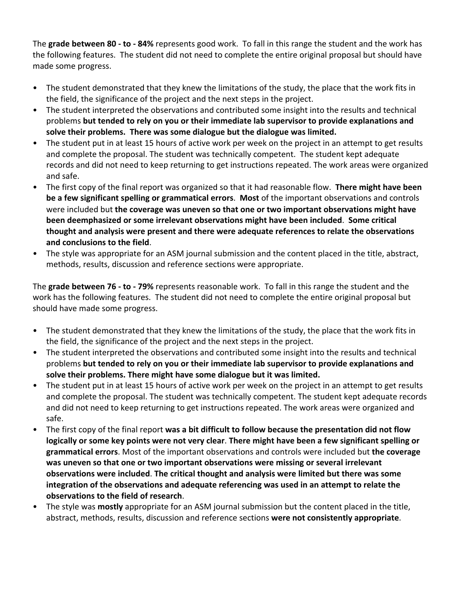The **grade between 80 - to - 84%** represents good work. To fall in this range the student and the work has the following features. The student did not need to complete the entire original proposal but should have made some progress.

- The student demonstrated that they knew the limitations of the study, the place that the work fits in the field, the significance of the project and the next steps in the project.
- The student interpreted the observations and contributed some insight into the results and technical problems **but tended to rely on you or their immediate lab supervisor to provide explanations and solve their problems. There was some dialogue but the dialogue was limited.**
- The student put in at least 15 hours of active work per week on the project in an attempt to get results and complete the proposal. The student was technically competent. The student kept adequate records and did not need to keep returning to get instructions repeated. The work areas were organized and safe.
- The first copy of the final report was organized so that it had reasonable flow. **There might have been be a few significant spelling or grammatical errors**. **Most** of the important observations and controls were included but **the coverage was uneven so that one or two important observations might have been deemphasized or some irrelevant observations might have been included**. **Some critical thought and analysis were present and there were adequate references to relate the observations and conclusions to the field**.
- The style was appropriate for an ASM journal submission and the content placed in the title, abstract, methods, results, discussion and reference sections were appropriate.

The **grade between 76 - to - 79%** represents reasonable work. To fall in this range the student and the work has the following features. The student did not need to complete the entire original proposal but should have made some progress.

- The student demonstrated that they knew the limitations of the study, the place that the work fits in the field, the significance of the project and the next steps in the project.
- The student interpreted the observations and contributed some insight into the results and technical problems **but tended to rely on you or their immediate lab supervisor to provide explanations and solve their problems. There might have some dialogue but it was limited.**
- The student put in at least 15 hours of active work per week on the project in an attempt to get results and complete the proposal. The student was technically competent. The student kept adequate records and did not need to keep returning to get instructions repeated. The work areas were organized and safe.
- The first copy of the final report **was a bit difficult to follow because the presentation did not flow logically or some key points were not very clear**. **There might have been a few significant spelling or grammatical errors**. Most of the important observations and controls were included but **the coverage was uneven so that one or two important observations were missing or several irrelevant observations were included**. **The critical thought and analysis were limited but there was some integration of the observations and adequate referencing was used in an attempt to relate the observations to the field of research**.
- The style was **mostly** appropriate for an ASM journal submission but the content placed in the title, abstract, methods, results, discussion and reference sections **were not consistently appropriate**.